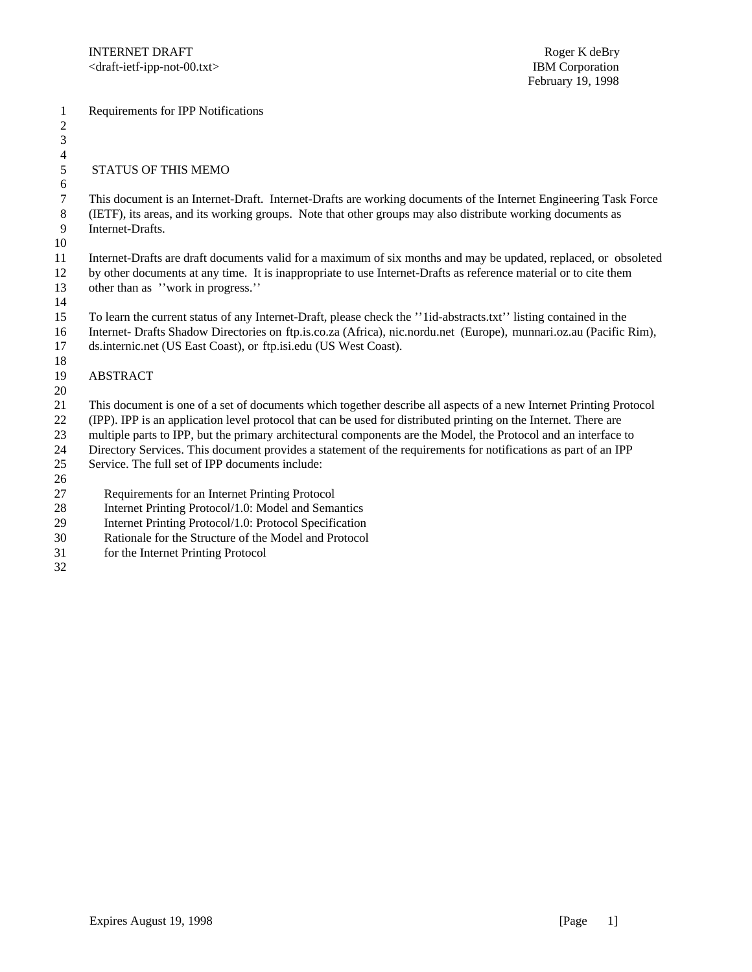Requirements for IPP Notifications

## 5 STATUS OF THIS MEMO

 This document is an Internet-Draft. Internet-Drafts are working documents of the Internet Engineering Task Force (IETF), its areas, and its working groups. Note that other groups may also distribute working documents as Internet-Drafts.

 

 Internet-Drafts are draft documents valid for a maximum of six months and may be updated, replaced, or obsoleted by other documents at any time. It is inappropriate to use Internet-Drafts as reference material or to cite them other than as ''work in progress.''

 To learn the current status of any Internet-Draft, please check the ''1id-abstracts.txt'' listing contained in the Internet- Drafts Shadow Directories on ftp.is.co.za (Africa), nic.nordu.net (Europe), munnari.oz.au (Pacific Rim),

 ds.internic.net (US East Coast), or ftp.isi.edu (US West Coast). 

## ABSTRACT

 This document is one of a set of documents which together describe all aspects of a new Internet Printing Protocol

(IPP). IPP is an application level protocol that can be used for distributed printing on the Internet. There are

- multiple parts to IPP, but the primary architectural components are the Model, the Protocol and an interface to
- Directory Services. This document provides a statement of the requirements for notifications as part of an IPP
- Service. The full set of IPP documents include:
- 

27 Requirements for an Internet Printing Protocol

- 28 Internet Printing Protocol/1.0: Model and Semantics
- 29 Internet Printing Protocol/1.0: Protocol Specification
- 30 Rationale for the Structure of the Model and Protocol
- 31 for the Internet Printing Protocol
-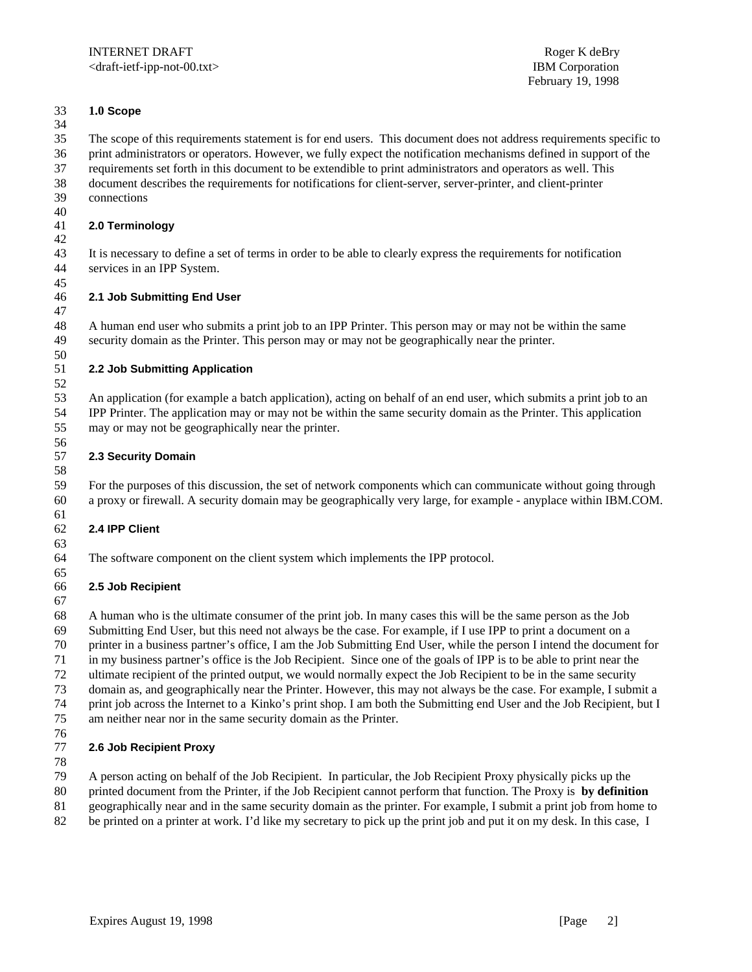#### **1.0 Scope**

 The scope of this requirements statement is for end users. This document does not address requirements specific to print administrators or operators. However, we fully expect the notification mechanisms defined in support of the

 requirements set forth in this document to be extendible to print administrators and operators as well. This document describes the requirements for notifications for client-server, server-printer, and client-printer

connections

#### 40<br>41 **2.0 Terminology**

 It is necessary to define a set of terms in order to be able to clearly express the requirements for notification services in an IPP System.

#### **2.1 Job Submitting End User**

 A human end user who submits a print job to an IPP Printer. This person may or may not be within the same security domain as the Printer. This person may or may not be geographically near the printer.

#### 50<br>51 **2.2 Job Submitting Application**

 An application (for example a batch application), acting on behalf of an end user, which submits a print job to an IPP Printer. The application may or may not be within the same security domain as the Printer. This application may or may not be geographically near the printer.

## **2.3 Security Domain**

 For the purposes of this discussion, the set of network components which can communicate without going through a proxy or firewall. A security domain may be geographically very large, for example - anyplace within IBM.COM.

## **2.4 IPP Client**

The software component on the client system which implements the IPP protocol.

## **2.5 Job Recipient**

 A human who is the ultimate consumer of the print job. In many cases this will be the same person as the Job Submitting End User, but this need not always be the case. For example, if I use IPP to print a document on a printer in a business partner's office, I am the Job Submitting End User, while the person I intend the document for in my business partner's office is the Job Recipient. Since one of the goals of IPP is to be able to print near the ultimate recipient of the printed output, we would normally expect the Job Recipient to be in the same security domain as, and geographically near the Printer. However, this may not always be the case. For example, I submit a print job across the Internet to a Kinko's print shop. I am both the Submitting end User and the Job Recipient, but I am neither near nor in the same security domain as the Printer.

## **2.6 Job Recipient Proxy**

A person acting on behalf of the Job Recipient. In particular, the Job Recipient Proxy physically picks up the

- printed document from the Printer, if the Job Recipient cannot perform that function. The Proxy is **by definition**
- geographically near and in the same security domain as the printer. For example, I submit a print job from home to be printed on a printer at work. I'd like my secretary to pick up the print job and put it on my desk. In this case, I
-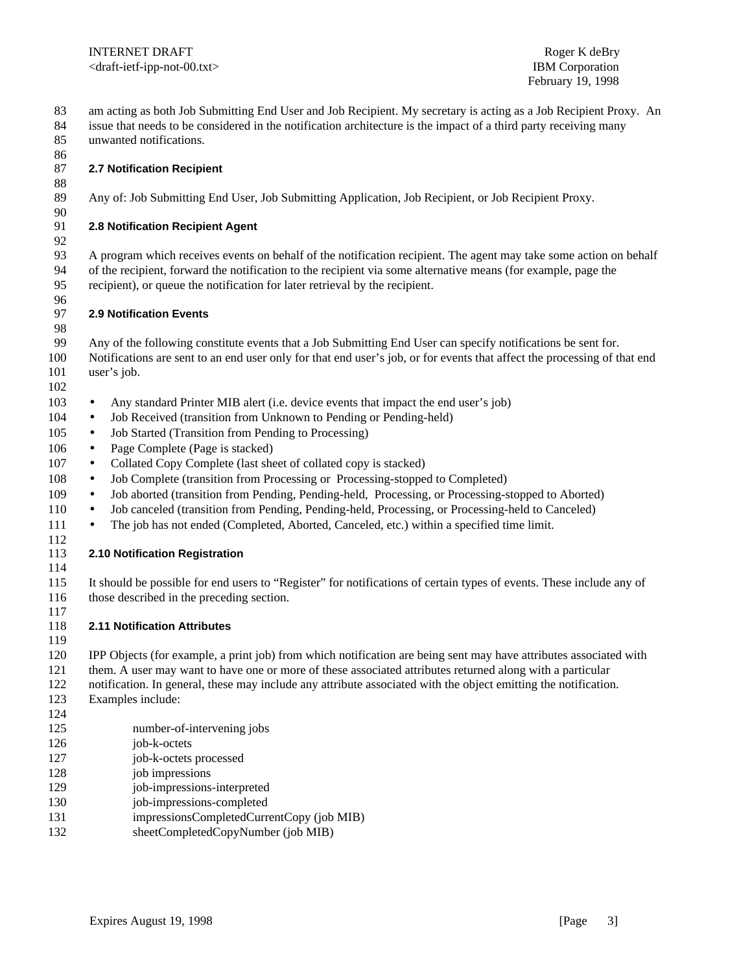February 19, 1998

 am acting as both Job Submitting End User and Job Recipient. My secretary is acting as a Job Recipient Proxy. An issue that needs to be considered in the notification architecture is the impact of a third party receiving many

 unwanted notifications. 

#### **2.7 Notification Recipient**

Any of: Job Submitting End User, Job Submitting Application, Job Recipient, or Job Recipient Proxy.

## **2.8 Notification Recipient Agent**

 A program which receives events on behalf of the notification recipient. The agent may take some action on behalf of the recipient, forward the notification to the recipient via some alternative means (for example, page the recipient), or queue the notification for later retrieval by the recipient.

#### 96<br>97 **2.9 Notification Events**

Any of the following constitute events that a Job Submitting End User can specify notifications be sent for.

 Notifications are sent to an end user only for that end user's job, or for events that affect the processing of that end 101 user's job. 

- Any standard Printer MIB alert (i.e. device events that impact the end user's job)
- 104 Job Received (transition from Unknown to Pending or Pending-held)
- Job Started (Transition from Pending to Processing)
- 106 Page Complete (Page is stacked)
- 107 Collated Copy Complete (last sheet of collated copy is stacked)
- Job Complete (transition from Processing or Processing-stopped to Completed)
- Job aborted (transition from Pending, Pending-held, Processing, or Processing-stopped to Aborted)
- Job canceled (transition from Pending, Pending-held, Processing, or Processing-held to Canceled)
- 111 The job has not ended (Completed, Aborted, Canceled, etc.) within a specified time limit.

## **2.10 Notification Registration**

 It should be possible for end users to "Register" for notifications of certain types of events. These include any of those described in the preceding section.

### **2.11 Notification Attributes**

IPP Objects (for example, a print job) from which notification are being sent may have attributes associated with

- them. A user may want to have one or more of these associated attributes returned along with a particular
- notification. In general, these may include any attribute associated with the object emitting the notification.
- Examples include:
- 
- number-of-intervening jobs
- job-k-octets
- job-k-octets processed
- job impressions
- job-impressions-interpreted
- job-impressions-completed
- impressionsCompletedCurrentCopy (job MIB)
- sheetCompletedCopyNumber (job MIB)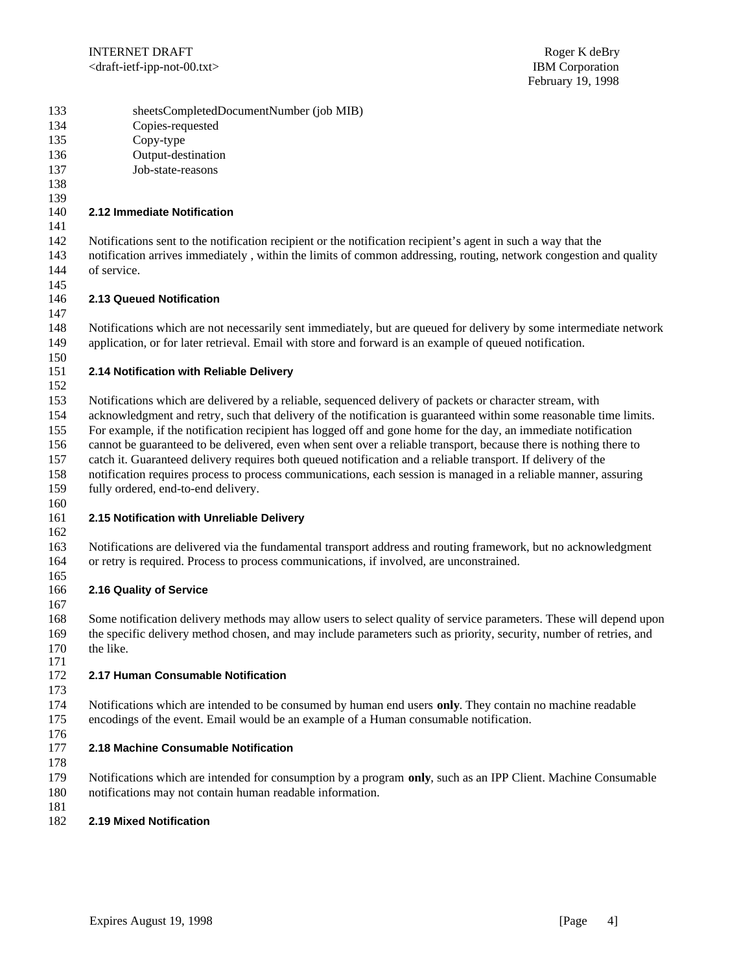| 133                     | sheetsCompletedDocumentNumber (job MIB) |
|-------------------------|-----------------------------------------|
| $1 \uparrow$ $\uparrow$ | $\alpha$ 1                              |

- Copies-requested
- Copy-type
- Output-destination
- Job-state-reasons
- 

## **2.12 Immediate Notification**

Notifications sent to the notification recipient or the notification recipient's agent in such a way that the

- notification arrives immediately , within the limits of common addressing, routing, network congestion and quality of service.
- **2.13 Queued Notification**
- Notifications which are not necessarily sent immediately, but are queued for delivery by some intermediate network application, or for later retrieval. Email with store and forward is an example of queued notification.
- 

## **2.14 Notification with Reliable Delivery**

Notifications which are delivered by a reliable, sequenced delivery of packets or character stream, with

acknowledgment and retry, such that delivery of the notification is guaranteed within some reasonable time limits.

For example, if the notification recipient has logged off and gone home for the day, an immediate notification

cannot be guaranteed to be delivered, even when sent over a reliable transport, because there is nothing there to

catch it. Guaranteed delivery requires both queued notification and a reliable transport. If delivery of the

notification requires process to process communications, each session is managed in a reliable manner, assuring

 fully ordered, end-to-end delivery. 

## **2.15 Notification with Unreliable Delivery**

 Notifications are delivered via the fundamental transport address and routing framework, but no acknowledgment or retry is required. Process to process communications, if involved, are unconstrained.

#### **2.16 Quality of Service**

 Some notification delivery methods may allow users to select quality of service parameters. These will depend upon the specific delivery method chosen, and may include parameters such as priority, security, number of retries, and 170 the like.

#### **2.17 Human Consumable Notification**

 Notifications which are intended to be consumed by human end users **only**. They contain no machine readable encodings of the event. Email would be an example of a Human consumable notification.

# **2.18 Machine Consumable Notification**

 Notifications which are intended for consumption by a program **only**, such as an IPP Client. Machine Consumable notifications may not contain human readable information.

#### **2.19 Mixed Notification**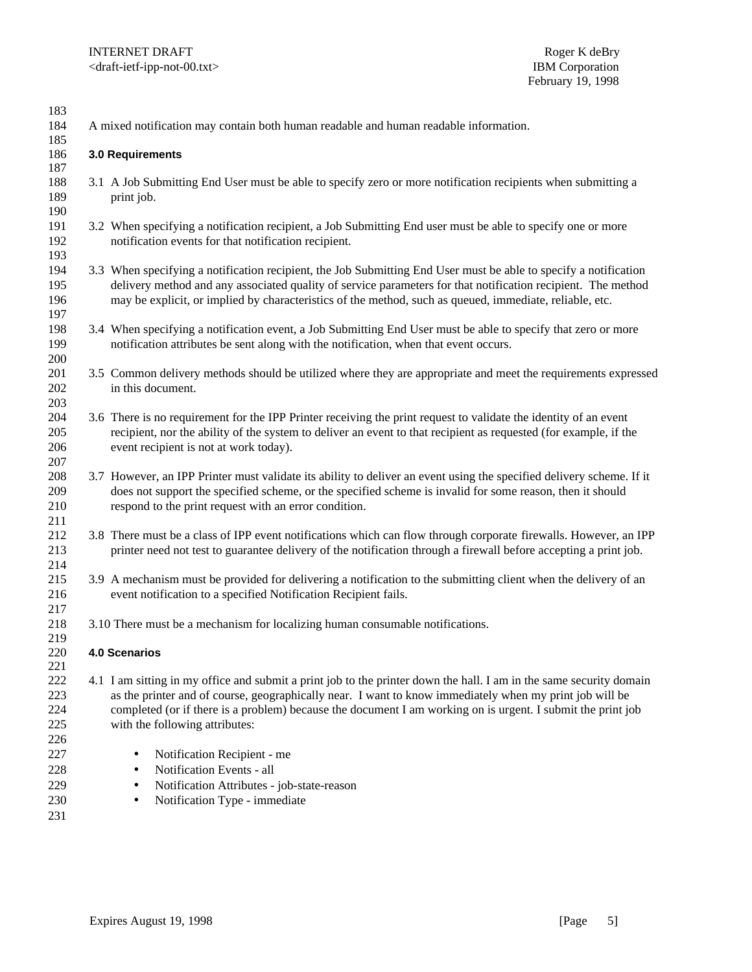| 183<br>184                      |                                                                                      |                                                                                                                                                                                                                                                                                                                                                                                 |  |  |
|---------------------------------|--------------------------------------------------------------------------------------|---------------------------------------------------------------------------------------------------------------------------------------------------------------------------------------------------------------------------------------------------------------------------------------------------------------------------------------------------------------------------------|--|--|
| 185                             | A mixed notification may contain both human readable and human readable information. |                                                                                                                                                                                                                                                                                                                                                                                 |  |  |
| 186<br>187                      |                                                                                      | 3.0 Requirements                                                                                                                                                                                                                                                                                                                                                                |  |  |
| 188<br>189<br>190               |                                                                                      | 3.1 A Job Submitting End User must be able to specify zero or more notification recipients when submitting a<br>print job.                                                                                                                                                                                                                                                      |  |  |
| 191<br>192<br>193               |                                                                                      | 3.2 When specifying a notification recipient, a Job Submitting End user must be able to specify one or more<br>notification events for that notification recipient.                                                                                                                                                                                                             |  |  |
| 194<br>195<br>196<br>197        |                                                                                      | 3.3 When specifying a notification recipient, the Job Submitting End User must be able to specify a notification<br>delivery method and any associated quality of service parameters for that notification recipient. The method<br>may be explicit, or implied by characteristics of the method, such as queued, immediate, reliable, etc.                                     |  |  |
| 198<br>199<br>200               |                                                                                      | 3.4 When specifying a notification event, a Job Submitting End User must be able to specify that zero or more<br>notification attributes be sent along with the notification, when that event occurs.                                                                                                                                                                           |  |  |
| 201<br>202<br>203               |                                                                                      | 3.5 Common delivery methods should be utilized where they are appropriate and meet the requirements expressed<br>in this document.                                                                                                                                                                                                                                              |  |  |
| 204<br>205<br>206<br>207        |                                                                                      | 3.6 There is no requirement for the IPP Printer receiving the print request to validate the identity of an event<br>recipient, nor the ability of the system to deliver an event to that recipient as requested (for example, if the<br>event recipient is not at work today).                                                                                                  |  |  |
| 208<br>209<br>210<br>211        |                                                                                      | 3.7 However, an IPP Printer must validate its ability to deliver an event using the specified delivery scheme. If it<br>does not support the specified scheme, or the specified scheme is invalid for some reason, then it should<br>respond to the print request with an error condition.                                                                                      |  |  |
| 212<br>213<br>214               |                                                                                      | 3.8 There must be a class of IPP event notifications which can flow through corporate firewalls. However, an IPP<br>printer need not test to guarantee delivery of the notification through a firewall before accepting a print job.                                                                                                                                            |  |  |
| 215<br>216<br>217               |                                                                                      | 3.9 A mechanism must be provided for delivering a notification to the submitting client when the delivery of an<br>event notification to a specified Notification Recipient fails.                                                                                                                                                                                              |  |  |
| 218                             |                                                                                      | 3.10 There must be a mechanism for localizing human consumable notifications.                                                                                                                                                                                                                                                                                                   |  |  |
| 219<br>220<br>221               |                                                                                      | <b>4.0 Scenarios</b>                                                                                                                                                                                                                                                                                                                                                            |  |  |
| 222<br>223<br>224<br>225<br>226 |                                                                                      | 4.1 I am sitting in my office and submit a print job to the printer down the hall. I am in the same security domain<br>as the printer and of course, geographically near. I want to know immediately when my print job will be<br>completed (or if there is a problem) because the document I am working on is urgent. I submit the print job<br>with the following attributes: |  |  |
| 227<br>228<br>229<br>230<br>231 |                                                                                      | Notification Recipient - me<br>$\bullet$<br>Notification Events - all<br>Notification Attributes - job-state-reason<br>Notification Type - immediate                                                                                                                                                                                                                            |  |  |